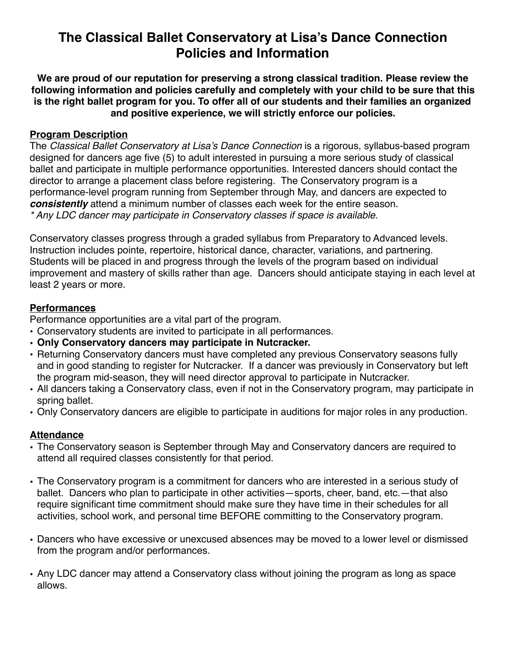# **The Classical Ballet Conservatory at Lisa's Dance Connection Policies and Information**

**We are proud of our reputation for preserving a strong classical tradition. Please review the following information and policies carefully and completely with your child to be sure that this is the right ballet program for you. To offer all of our students and their families an organized and positive experience, we will strictly enforce our policies.**

#### **Program Description**

The *Classical Ballet Conservatory at Lisa's Dance Connection* is a rigorous, syllabus-based program designed for dancers age five (5) to adult interested in pursuing a more serious study of classical ballet and participate in multiple performance opportunities. Interested dancers should contact the director to arrange a placement class before registering. The Conservatory program is a performance-level program running from September through May, and dancers are expected to *consistently* attend a minimum number of classes each week for the entire season. *\* Any LDC dancer may participate in Conservatory classes if space is available.* 

Conservatory classes progress through a graded syllabus from Preparatory to Advanced levels. Instruction includes pointe, repertoire, historical dance, character, variations, and partnering. Students will be placed in and progress through the levels of the program based on individual improvement and mastery of skills rather than age. Dancers should anticipate staying in each level at least 2 years or more.

## **Performances**

Performance opportunities are a vital part of the program.

- Conservatory students are invited to participate in all performances.
- **Only Conservatory dancers may participate in Nutcracker.**
- Returning Conservatory dancers must have completed any previous Conservatory seasons fully and in good standing to register for Nutcracker. If a dancer was previously in Conservatory but left the program mid-season, they will need director approval to participate in Nutcracker.
- All dancers taking a Conservatory class, even if not in the Conservatory program, may participate in spring ballet.
- Only Conservatory dancers are eligible to participate in auditions for major roles in any production.

## **Attendance**

- The Conservatory season is September through May and Conservatory dancers are required to attend all required classes consistently for that period.
- The Conservatory program is a commitment for dancers who are interested in a serious study of ballet. Dancers who plan to participate in other activities—sports, cheer, band, etc.—that also require significant time commitment should make sure they have time in their schedules for all activities, school work, and personal time BEFORE committing to the Conservatory program.
- Dancers who have excessive or unexcused absences may be moved to a lower level or dismissed from the program and/or performances.
- Any LDC dancer may attend a Conservatory class without joining the program as long as space allows.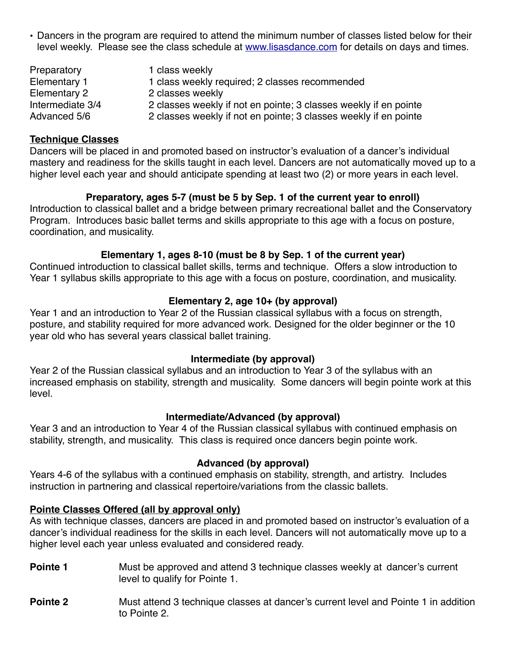• Dancers in the program are required to attend the minimum number of classes listed below for their level weekly. Please see the class schedule at [www.lisasdance.com](http://www.lisasdance.com) for details on days and times.

| Preparatory      | 1 class weekly                                                   |
|------------------|------------------------------------------------------------------|
| Elementary 1     | 1 class weekly required; 2 classes recommended                   |
| Elementary 2     | 2 classes weekly                                                 |
| Intermediate 3/4 | 2 classes weekly if not en pointe; 3 classes weekly if en pointe |
| Advanced 5/6     | 2 classes weekly if not en pointe; 3 classes weekly if en pointe |

#### **Technique Classes**

Dancers will be placed in and promoted based on instructor's evaluation of a dancer's individual mastery and readiness for the skills taught in each level. Dancers are not automatically moved up to a higher level each year and should anticipate spending at least two (2) or more years in each level.

## **Preparatory, ages 5-7 (must be 5 by Sep. 1 of the current year to enroll)**

Introduction to classical ballet and a bridge between primary recreational ballet and the Conservatory Program. Introduces basic ballet terms and skills appropriate to this age with a focus on posture, coordination, and musicality.

## **Elementary 1, ages 8-10 (must be 8 by Sep. 1 of the current year)**

Continued introduction to classical ballet skills, terms and technique. Offers a slow introduction to Year 1 syllabus skills appropriate to this age with a focus on posture, coordination, and musicality.

## **Elementary 2, age 10+ (by approval)**

Year 1 and an introduction to Year 2 of the Russian classical syllabus with a focus on strength, posture, and stability required for more advanced work. Designed for the older beginner or the 10 year old who has several years classical ballet training.

#### **Intermediate (by approval)**

Year 2 of the Russian classical syllabus and an introduction to Year 3 of the syllabus with an increased emphasis on stability, strength and musicality. Some dancers will begin pointe work at this level.

#### **Intermediate/Advanced (by approval)**

Year 3 and an introduction to Year 4 of the Russian classical syllabus with continued emphasis on stability, strength, and musicality. This class is required once dancers begin pointe work.

## **Advanced (by approval)**

Years 4-6 of the syllabus with a continued emphasis on stability, strength, and artistry. Includes instruction in partnering and classical repertoire/variations from the classic ballets.

## **Pointe Classes Offered (all by approval only)**

As with technique classes, dancers are placed in and promoted based on instructor's evaluation of a dancer's individual readiness for the skills in each level. Dancers will not automatically move up to a higher level each year unless evaluated and considered ready.

- **Pointe 1** Must be approved and attend 3 technique classes weekly at dancer's current level to qualify for Pointe 1.
- **Pointe 2** Must attend 3 technique classes at dancer's current level and Pointe 1 in addition to Pointe 2.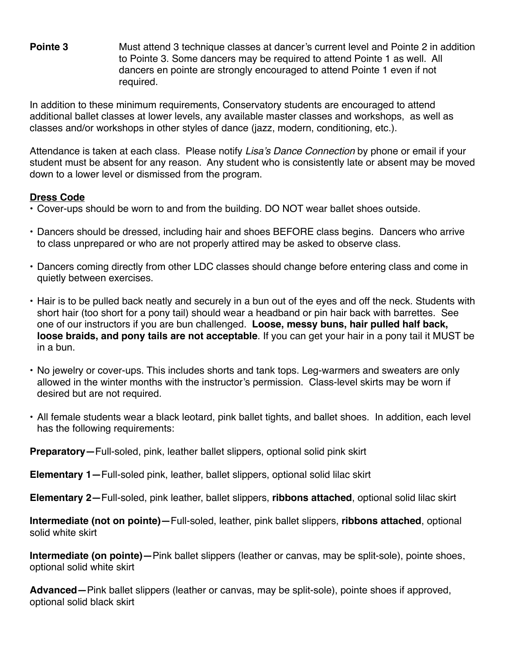**Pointe 3** Must attend 3 technique classes at dancer's current level and Pointe 2 in addition to Pointe 3. Some dancers may be required to attend Pointe 1 as well. All dancers en pointe are strongly encouraged to attend Pointe 1 even if not required.

In addition to these minimum requirements, Conservatory students are encouraged to attend additional ballet classes at lower levels, any available master classes and workshops, as well as classes and/or workshops in other styles of dance (jazz, modern, conditioning, etc.).

Attendance is taken at each class. Please notify *Lisa's Dance Connection* by phone or email if your student must be absent for any reason. Any student who is consistently late or absent may be moved down to a lower level or dismissed from the program.

## **Dress Code**

- Cover-ups should be worn to and from the building. DO NOT wear ballet shoes outside.
- Dancers should be dressed, including hair and shoes BEFORE class begins. Dancers who arrive to class unprepared or who are not properly attired may be asked to observe class.
- Dancers coming directly from other LDC classes should change before entering class and come in quietly between exercises.
- Hair is to be pulled back neatly and securely in a bun out of the eyes and off the neck. Students with short hair (too short for a pony tail) should wear a headband or pin hair back with barrettes. See one of our instructors if you are bun challenged. **Loose, messy buns, hair pulled half back, loose braids, and pony tails are not acceptable**. If you can get your hair in a pony tail it MUST be in a bun.
- No jewelry or cover-ups. This includes shorts and tank tops. Leg-warmers and sweaters are only allowed in the winter months with the instructor's permission. Class-level skirts may be worn if desired but are not required.
- All female students wear a black leotard, pink ballet tights, and ballet shoes. In addition, each level has the following requirements:

**Preparatory—**Full-soled, pink, leather ballet slippers, optional solid pink skirt

**Elementary 1—**Full-soled pink, leather, ballet slippers, optional solid lilac skirt

**Elementary 2—**Full-soled, pink leather, ballet slippers, **ribbons attached**, optional solid lilac skirt

**Intermediate (not on pointe)—**Full-soled, leather, pink ballet slippers, **ribbons attached**, optional solid white skirt

**Intermediate (on pointe)—**Pink ballet slippers (leather or canvas, may be split-sole), pointe shoes, optional solid white skirt

**Advanced—**Pink ballet slippers (leather or canvas, may be split-sole), pointe shoes if approved, optional solid black skirt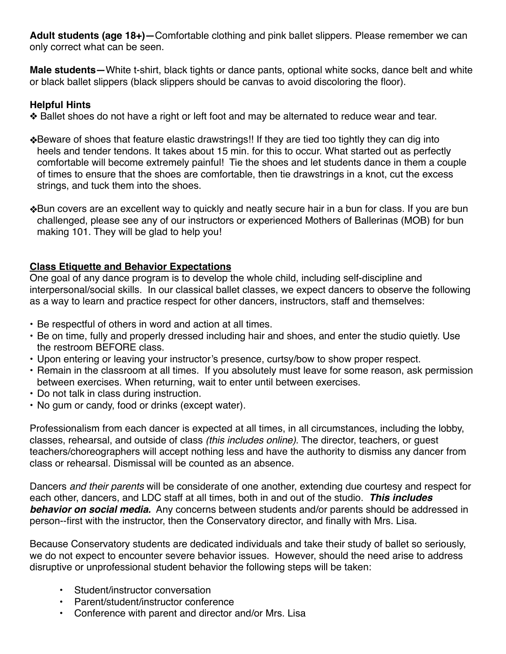**Adult students (age 18+)—**Comfortable clothing and pink ballet slippers. Please remember we can only correct what can be seen.

**Male students—**White t-shirt, black tights or dance pants, optional white socks, dance belt and white or black ballet slippers (black slippers should be canvas to avoid discoloring the floor).

# **Helpful Hints**

❖ Ballet shoes do not have a right or left foot and may be alternated to reduce wear and tear.

- ❖Beware of shoes that feature elastic drawstrings!! If they are tied too tightly they can dig into heels and tender tendons. It takes about 15 min. for this to occur. What started out as perfectly comfortable will become extremely painful! Tie the shoes and let students dance in them a couple of times to ensure that the shoes are comfortable, then tie drawstrings in a knot, cut the excess strings, and tuck them into the shoes.
- ❖Bun covers are an excellent way to quickly and neatly secure hair in a bun for class. If you are bun challenged, please see any of our instructors or experienced Mothers of Ballerinas (MOB) for bun making 101. They will be glad to help you!

# **Class Etiquette and Behavior Expectations**

One goal of any dance program is to develop the whole child, including self-discipline and interpersonal/social skills. In our classical ballet classes, we expect dancers to observe the following as a way to learn and practice respect for other dancers, instructors, staff and themselves:

- Be respectful of others in word and action at all times.
- Be on time, fully and properly dressed including hair and shoes, and enter the studio quietly. Use the restroom BEFORE class.
- Upon entering or leaving your instructor's presence, curtsy/bow to show proper respect.
- Remain in the classroom at all times. If you absolutely must leave for some reason, ask permission between exercises. When returning, wait to enter until between exercises.
- Do not talk in class during instruction.
- No gum or candy, food or drinks (except water).

Professionalism from each dancer is expected at all times, in all circumstances, including the lobby, classes, rehearsal, and outside of class *(this includes online)*. The director, teachers, or guest teachers/choreographers will accept nothing less and have the authority to dismiss any dancer from class or rehearsal. Dismissal will be counted as an absence.

Dancers *and their parents* will be considerate of one another, extending due courtesy and respect for each other, dancers, and LDC staff at all times, both in and out of the studio. *This includes behavior on social media.* Any concerns between students and/or parents should be addressed in person--first with the instructor, then the Conservatory director, and finally with Mrs. Lisa.

Because Conservatory students are dedicated individuals and take their study of ballet so seriously, we do not expect to encounter severe behavior issues. However, should the need arise to address disruptive or unprofessional student behavior the following steps will be taken:

- Student/instructor conversation
- Parent/student/instructor conference
- Conference with parent and director and/or Mrs. Lisa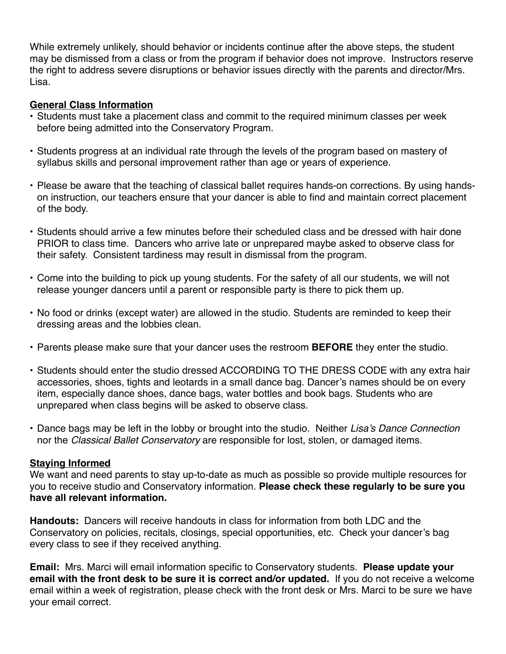While extremely unlikely, should behavior or incidents continue after the above steps, the student may be dismissed from a class or from the program if behavior does not improve. Instructors reserve the right to address severe disruptions or behavior issues directly with the parents and director/Mrs. Lisa.

#### **General Class Information**

- Students must take a placement class and commit to the required minimum classes per week before being admitted into the Conservatory Program.
- Students progress at an individual rate through the levels of the program based on mastery of syllabus skills and personal improvement rather than age or years of experience.
- Please be aware that the teaching of classical ballet requires hands-on corrections. By using handson instruction, our teachers ensure that your dancer is able to find and maintain correct placement of the body.
- Students should arrive a few minutes before their scheduled class and be dressed with hair done PRIOR to class time. Dancers who arrive late or unprepared maybe asked to observe class for their safety. Consistent tardiness may result in dismissal from the program.
- Come into the building to pick up young students. For the safety of all our students, we will not release younger dancers until a parent or responsible party is there to pick them up.
- No food or drinks (except water) are allowed in the studio. Students are reminded to keep their dressing areas and the lobbies clean.
- Parents please make sure that your dancer uses the restroom **BEFORE** they enter the studio.
- Students should enter the studio dressed ACCORDING TO THE DRESS CODE with any extra hair accessories, shoes, tights and leotards in a small dance bag. Dancer's names should be on every item, especially dance shoes, dance bags, water bottles and book bags. Students who are unprepared when class begins will be asked to observe class.
- Dance bags may be left in the lobby or brought into the studio. Neither *Lisa's Dance Connection* nor the *Classical Ballet Conservatory* are responsible for lost, stolen, or damaged items.

#### **Staying Informed**

We want and need parents to stay up-to-date as much as possible so provide multiple resources for you to receive studio and Conservatory information. **Please check these regularly to be sure you have all relevant information.** 

**Handouts:** Dancers will receive handouts in class for information from both LDC and the Conservatory on policies, recitals, closings, special opportunities, etc. Check your dancer's bag every class to see if they received anything.

**Email:** Mrs. Marci will email information specific to Conservatory students. **Please update your email with the front desk to be sure it is correct and/or updated.** If you do not receive a welcome email within a week of registration, please check with the front desk or Mrs. Marci to be sure we have your email correct.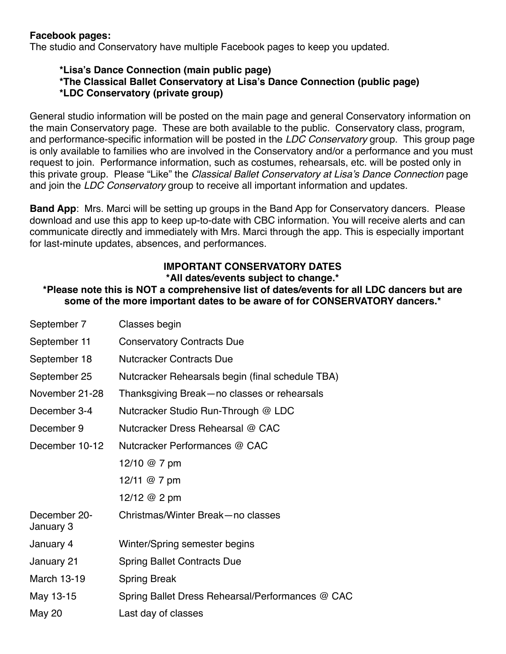#### **Facebook pages:**

The studio and Conservatory have multiple Facebook pages to keep you updated.

# **\*Lisa's Dance Connection (main public page)**

**\*The Classical Ballet Conservatory at Lisa's Dance Connection (public page)**

# **\*LDC Conservatory (private group)**

General studio information will be posted on the main page and general Conservatory information on the main Conservatory page. These are both available to the public. Conservatory class, program, and performance-specific information will be posted in the *LDC Conservatory* group. This group page is only available to families who are involved in the Conservatory and/or a performance and you must request to join. Performance information, such as costumes, rehearsals, etc. will be posted only in this private group. Please "Like" the *Classical Ballet Conservatory at Lisa's Dance Connection* page and join the *LDC Conservatory* group to receive all important information and updates.

**Band App**: Mrs. Marci will be setting up groups in the Band App for Conservatory dancers. Please download and use this app to keep up-to-date with CBC information. You will receive alerts and can communicate directly and immediately with Mrs. Marci through the app. This is especially important for last-minute updates, absences, and performances.

# **IMPORTANT CONSERVATORY DATES**

## **\*All dates/events subject to change.\***

**\*Please note this is NOT a comprehensive list of dates/events for all LDC dancers but are some of the more important dates to be aware of for CONSERVATORY dancers.\***

| September 7               | Classes begin                                    |  |
|---------------------------|--------------------------------------------------|--|
| September 11              | <b>Conservatory Contracts Due</b>                |  |
| September 18              | <b>Nutcracker Contracts Due</b>                  |  |
| September 25              | Nutcracker Rehearsals begin (final schedule TBA) |  |
| November 21-28            | Thanksgiving Break-no classes or rehearsals      |  |
| December 3-4              | Nutcracker Studio Run-Through @ LDC              |  |
| December 9                | Nutcracker Dress Rehearsal @ CAC                 |  |
| December 10-12            | Nutcracker Performances @ CAC                    |  |
|                           | 12/10 $@$ 7 pm                                   |  |
|                           | 12/11 @ 7 pm                                     |  |
|                           | 12/12 @ 2 pm                                     |  |
| December 20-<br>January 3 | Christmas/Winter Break-no classes                |  |
| January 4                 | Winter/Spring semester begins                    |  |
| January 21                | <b>Spring Ballet Contracts Due</b>               |  |
| <b>March 13-19</b>        | <b>Spring Break</b>                              |  |
| May 13-15                 | Spring Ballet Dress Rehearsal/Performances @ CAC |  |
| <b>May 20</b>             | Last day of classes                              |  |